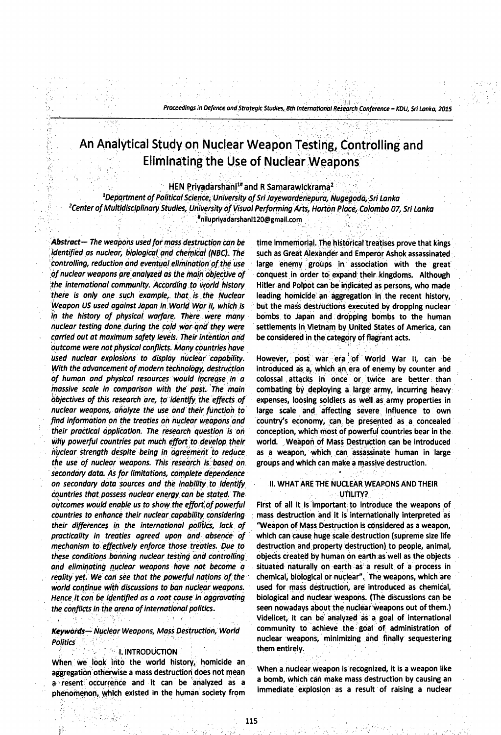# **An Analytical Study on Nuclear Weapon Testing, Controlling and Eliminating the Use of Nuclear Weapons**

**HEN Priyadarshani1#and R Samarawickrama2**

<sup>1</sup>Department of Political Science; University of Sri Jayewardenepura, Nugegoda, Sri Lanka *2Center of Multidisciplinary Studies, University of Visual Performing Arts, Horton Place, Colombo 07, Sri Lanka* **[\\*nilu p riyadarshanil20 @ gm ail.co m](mailto:nilupriyadarshanil20@gmail.com)**

*Abstract— The weapons used for mass destruction can be identified as nuclear, biological arid chemical (NBC). The controlling, reduction and eventual elimination of the use of nuclear weapons are analyzed as the mairi objective of the international community. According to world history there is only one such example, that is the Nuclear Weapon US used against Japan in World War II, which is in the history of physical warfare. There were many nuclear testing done during the cold war and they were carried out at maximum safety levels. Their intention arid Outcome were not physical conflicts. Many countries have used nuclear explosions to display nuclear capability. With the advancement of modern technology, destruction of human and physical resources would Increase in a massive scale in comparison with the past. The main Objectives of this research are, to identify the effects of nuclear weapons, analyze the use and their function to find information on the treaties oh nuclear weapons and their practical application. The research question is on why powerful countries put much effort to develop their nuclear strength despite being in agreemerit to reduce the use of nuclear weapons. This research is based on secondary data. As for limitations, complete dependence on secondary data sources and the inability to identify Countries that possess nuclear energy can be stated. The outcomes would enable us to show the effort of powerful countries to enhance their nuclear capability considering their differences in the international politics, lack of practicality in treaties agreed upon and absence of mechanism to effectively enforce those treaties. Due to these conditions banning nuclear testing and controlling and eliminating nuclear weapons have not become a reality yet. We cari see that the powerful nations of the world continue with discussions to ban nuclear weapons. Hence it can be identified as a root cause In aggravating the conflicts in the arena of international politics.*

# *Keywords— Nuclear Weapons, Mass Destruction, World Politics* -

#### **I. INTRODUCTION**

When we look into the world history, homicide an aggregation otherwise a mass destruction does not mean a resent occurrence and it can be analyzed as a phenomenon, which existed in the human society from

time immemorial. The historical treatises prove that kings such as Great Alexander and Emperor Ashok assassinated large enemy groups in association with the great conquest in order to expand their kingdoms. Although Hitler and Polpot can be indicated as persons, who made leading homicide an aggregation in the recent history, but the mass destructions executed by dropping nuclear bombs to Japan and dropping bombs to the human settlements in Vietnam by United States of America, can be considered in the category of flagrant acts.

However, post war era of World War II, can be introduced as a, which an era of enemy by counter and colossal attacks in once or twice are better than combating by deploying a large army, incurring heavy expenses, loosing soldiers as well as army properties in large scale and affecting severe influence to own country's economy, can be presented as a concealed conception, which most of powerful countries bear in the world. Weapon of Mass Destruction can be introduced as a weapon, which can assassinate human in large groups and which can make a massive destruction.

# II. WHAT ARE THE NUCLEAR WEAPONS AND THEIR UTILITY?

First of all it is important to introduce the weapons of mass destruction and it is internationally interpreted as "Weapon of Mass Destruction is considered as a weapon, which can cause huge scale destruction (supreme size life destruction and property destruction) to people, animal, objects created by human on earth as well as the objects situated naturally on earth as a result of a process in chemical, biological or nuclear". The weapons, which are used for mass destruction, are introduced as chemical, biological and nuclear weapons. (The discussions can be seen nowadays about the nuclear weapons out of them.) Videlicet, it can be analyzed as a goal of international community to achieve the goal of administration of nuclear weapons, minimizing and finally sequestering them entirely.

When a nuclear weapon is recognized, it is a weapon like a bomb, which can make mass destruction by causing an immediate explosion as a result of raising a nuclear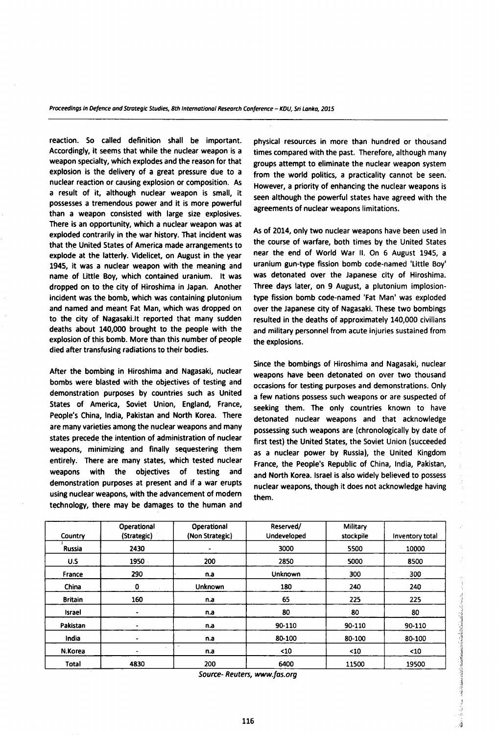reaction. So called definition shall be important. Accordingly, it seems that while the nuclear weapon is a weapon specialty, which explodes and the reason for that explosion is the delivery of a great pressure due to a nuclear reaction or causing explosion or composition. As a result of it, although nuclear weapon is small, it possesses a tremendous power and it is more powerful than a weapon consisted with large size explosives. There is an opportunity, which a nuclear weapon was at exploded contrarily in the war history. That incident was that the United States of America made arrangements to explode at the latterly. Videlicet, on August in the year 1945, it was a nuclear weapon with the meaning and name of Little Boy, which contained uranium. It was dropped on to the city of Hiroshima in Japan. Another incident was the bomb, which was containing plutonium and named and meant Fat Man, which was dropped on to the city of Nagasaki.It reported that many sudden deaths about 140,000 brought to the people with the explosion of this bomb. More than this number of people died after transfusing radiations to their bodies.

After the bombing in Hiroshima and Nagasaki, nuclear bombs were blasted with the objectives of testing and demonstration purposes by countries such as United States of America, Soviet Union, England, France, People's China, India, Pakistan and North Korea. There are many varieties among the nuclear weapons and many states precede the intention of administration of nuclear weapons, minimizing and finally sequestering them entirely. There are many states, which tested nuclear weapons with the objectives of testing and demonstration purposes at present and if a war erupts using nuclear weapons, with the advancement of modern technology, there may be damages to the human and physical resources in more than hundred or thousand times compared with the past. Therefore, although many groups attempt to eliminate the nuclear weapon system from the world politics, a practicality cannot be seen. However, a priority of enhancing the nuclear weapons is seen although the powerful states have agreed with the agreements of nuclear weapons limitations.

As of 2014, only two nuclear weapons have been used in the course of warfare, both times by the United States near the end of World War II. On 6 August 1945, a uranium gun-type fission bomb code-named 'Little Boy' was detonated over the Japanese city of Hiroshima. Three days later, on 9 August, a plutonium implosiontype fission bomb code-named 'Fat Man' was exploded over the Japanese city of Nagasaki. These two bombings resulted in the deaths of approximately 140,000 civilians and military personnel from acute injuries sustained from the explosions.

Since the bombings of Hiroshima and Nagasaki, nuclear weapons have been detonated on over two thousand occasions for testing purposes and demonstrations. Only a few nations possess such weapons or are suspected of seeking them. The only countries known to have detonated nuclear weapons and that acknowledge possessing such weapons are (chronologically by date of first test) the United States, the Soviet Union (succeeded as a nuclear power by Russia), the United Kingdom France, the People's Republic of China, India, Pakistan, and North Korea. Israel is also widely believed to possess nuclear weapons, though it does not acknowledge having them.

 $\label{eq:R1} \begin{aligned} \mathcal{F}_{\mathcal{M}}(\mathcal{M}) = \mathcal{F}_{\mathcal{M}}(\mathcal{M}) = \mathcal{F}_{\mathcal{M}}(\mathcal{M}) = \mathcal{F}_{\mathcal{M}}(\mathcal{M}) = \mathcal{F}_{\mathcal{M}}(\mathcal{M}) = \mathcal{F}_{\mathcal{M}}(\mathcal{M}) = \mathcal{F}_{\mathcal{M}}(\mathcal{M}) = \mathcal{F}_{\mathcal{M}}(\mathcal{M}) = \mathcal{F}_{\mathcal{M}}(\mathcal{M}) = \mathcal{F}_{\mathcal{M}}(\mathcal{M}) = \mathcal{F}_{\mathcal{M}}(\mathcal{M$ 

| Country        | Operational<br>(Strategic) | Operational<br>(Non Strategic)  | Reserved/<br>Undeveloped | Military<br>stockpile | Inventory total |
|----------------|----------------------------|---------------------------------|--------------------------|-----------------------|-----------------|
| Russia         | 2430                       |                                 | 3000                     | 5500                  | 10000           |
| U.S            | 1950                       | 200                             | 2850                     | 5000                  | 8500            |
| France         | 290                        | n.a                             | Unknown                  | 300                   | 300             |
| China          | 0                          | Unknown                         | 180                      | 240                   | 240             |
| <b>Britain</b> | 160                        | n.a                             | 65                       | 225                   | 225             |
| Israel         | ۰                          | n.a                             | 80                       | 80                    | 80              |
| Pakistan       |                            | n.a                             | 90-110                   | 90-110                | 90-110          |
| India          |                            | n.a                             | 80-100                   | 80-100                | 80-100          |
| N.Korea        | ۰                          | $\overline{\phantom{a}}$<br>n.a | $10$                     | $\leq 10$             | $10$            |
| <b>Total</b>   | 4830                       | 200                             | 6400                     | 11500                 | 19500           |

*Source- Reuters, [www.fas.org](http://www.fas.org)*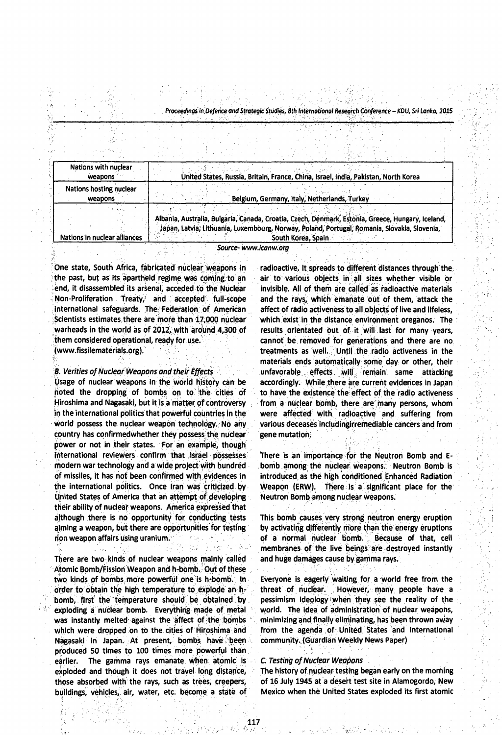| Nations with nuclear<br>weapons    | United States, Russia, Britain, France, China, Israel, India, Pakistan, North Korea                                                                                                                                     |  |  |  |  |  |
|------------------------------------|-------------------------------------------------------------------------------------------------------------------------------------------------------------------------------------------------------------------------|--|--|--|--|--|
| Nations hosting nuclear<br>weapons | Belgium, Germany, Italy, Netherlands, Turkey                                                                                                                                                                            |  |  |  |  |  |
| Nations in nuclear alliances       | Albania, Australia, Bulgaria, Canada, Croatia, Czech, Denmark, Estonia, Greece, Hungary, Iceland,<br>Japan, Latvia, Lithuania, Luxembourg, Norway, Poland, Portugal, Romania, Slovakia, Slovenia,<br>South Korea, Spain |  |  |  |  |  |

*Source- [www.tcanw.org](http://www.tcanw.org)*

noted the dropping of bombs on to the cities of to have the existence the effect of the radio activeness Hiroshima and Nagasaki, but it is a matter of controversy from a nuclear bomb, there are many persons, whom in the international politics that powerful countries in the were affected with radioactive and suffering from world possess the nuclear weapon technology. No any various deceases includingirrem ediable cancers and from country has confirmed whether they possess the nuclear gene mutation. power or not in their states. For an example, though international reviewers confirm that Israel possesses. There is an importance for the Neutron Bomb and Emodern war technology and a wide project with hundred bomb among the nuclear weapons. Neutron Bomb is of missiles, it has not been confirmed with evidences in introduced as the high conditioned Enhanced Radiation the international politics. Once Iran was criticized by Weapon (ERW). There is a significant place for the United States of America that an attempt of developing Neutron Bomb among nuclear weapons. their ability of nuclear weapons. America expressed that although there is no opportunity for conducting tests This bomb causes very strong neutron energy eruption aiming a weapon, but there are opportunities for testing by activating differently more than the energy eruptions non weapon affairs using uranium. The fight of a normal nuclear bomb. Because of that, cell

There are two kinds of nuclear weapons mainly called and huge damages cause by gamma rays. Atomic Bomb/Fission Weapon and h-bomb. Out of these two kinds of bombs more powerful one is h-bomb. In Everyone is eagerly waiting for a world free from the order to obtain the high temperature to explode an h- threat of nuclear. However, many people have a bomb, first the temperature should be obtained by pessimism ideology when they see the reality of the exploding a nuclear bomb. Everything made of metal world. The idea of administration of nuclear weapons, was instantly melted against the affect of the bombs minimizing and finally eliminating, has been thrown away which were dropped on to the cities of Hiroshima and from the agenda of United States and international Nagasaki in Japan. At present, bombs have been community. (Guardian Weekly News Paper) produced 50 times to 100 times more powerful than earlier. The gamma rays emanate when atomic is *C. Testing of Nuclear Weapons* those absorbed with the rays, such as trees, creepers, of 16 July 1945 at a desert test site in Alamogordo, New

One state, South Africa, fabricated nuclear weapons in radioactive. It spreads to different distances through the the past, but as its apartheid regime was coming to an air to various objects in all sizes whether visible or end, it disassembled its arsenal, acceded to the Nuclear invisible. All of them are called as radioactive materials Non-Proliferation Treaty, and accepted full-scope and the rays, which emanate out of them, attack the international safeguards. The Federation of American affect of radio activeness to all objects of live and lifeless, Scientists estimates there are more than 17,000 nuclear which exist in the distance environment oreganos. The warheads in the world as of 2012, with around 4,300 of results orientated out of it will last for many years, them considered operational, ready for use. Cannot be removed for generations and there are no (www.fissilematerials.org). the state of the reatments as well. Until the radio activeness in the materials ends automatically some day or other, their **B. Verities of Nuclear Weapons and their Effects** . Unfavorable effects will remain same attacking Usage of nuclear weapons in the world history can be accordingly. W hile there are current evidences in Japan

membranes of the live beings are destroyed instantly

exploded and though it does not travel long distance, The history of nuclear testing began early on the morning buildings, vehicles, air, water, etc. become a state of Mexico when the United States exploded its first atomic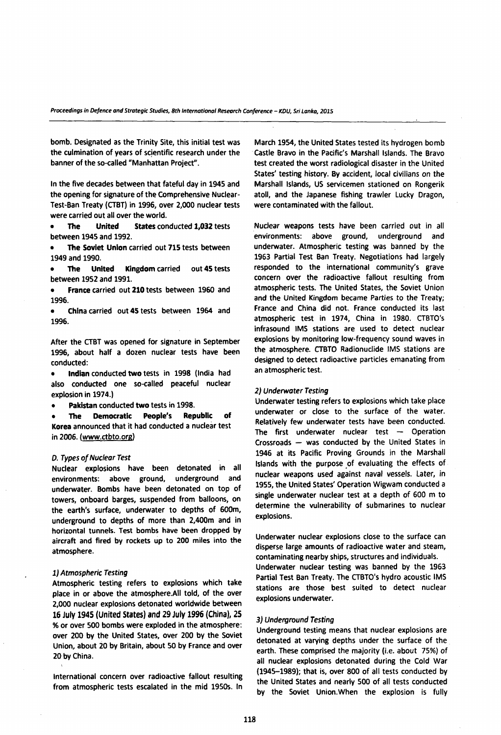bomb. Designated as the Trinity Site, this initial test was the culmination of years of scientific research under the banner of the so-called "Manhattan Project".

In the five decades between that fateful day in 1945 and the opening for signature of the Comprehensive Nuclear-Test-Ban Treaty (CTBT) in 1996, over 2,000 nuclear tests were carried out all over the world.

**• The United States** conducted **1,032** tests between 1945 and 1992.

**• The Soviet Union** carried out **715** tests between 1949 and 1990.

**• The United Kingdom** carried out **45** tests between 1952 and 1991.

**• France** carried out **210** tests between 1960 and 1996.

**• China** carried out **45** tests between 1964 and 1996.

After the CTBT was opened for signature in September 1996, about half a dozen nuclear tests have been conducted:

**• Indian** conducted **two** tests in 1998 (India had also conducted one so-called peaceful nuclear explosion in 1974.)

**• Pakistan** conducted **two** tests in 1998.

**• The Democratic People's Republic of Korea** announced that it had conducted a nuclear test in 2006. (www.ctbto.org)

#### *D. Types of Nuclear Test*

Nuclear explosions have been detonated in all environments: above ground, underground and underwater. Bombs have been detonated on top of tow ers, onboard barges, suspended from balloons, on the earth's surface, underwater to depths of 600m, underground to depths of more than 2,400m and in horizontal tunnels. Test bombs have been dropped by aircraft and fired by rockets up to 200 miles into the atmosphere.

### *1) Atmospheric Testing*

Atm ospheric testing refers to explosions which take place in or above the atmosphere.All told, of the over 2,000 nuclear explosions detonated worldwide between **16 July 1945 (United States) and 29 July 1996 (China), 25** % or over 500 bombs were exploded in the atmosphere: over 200 by the United States, over 200 by the Soviet Union, about 20 by Britain, about 50 by France and over 20 by China.

International concern over radioactive fallout resulting from atm ospheric tests escalated in the mid 1950s. In March 1954, the United States tested its hydrogen bomb Castle Bravo in the Pacific's Marshall Islands. The Bravo test created the worst radiological disaster in the United States' testing history. By accident, local civilians on the Marshall Islands, US servicemen stationed on Rongerik atoll, and the Japanese fishing trawler Lucky Dragon, were contaminated with the fallout.

Nuclear weapons tests have been carried out in all environments: above ground, underground and underwater. Atmospheric testing was banned by the 1963 Partial Test Ban Treaty. Negotiations had largely responded to the international community's grave concern over the radioactive fallout resulting from atm ospheric tests. The United States, the Soviet Union and the United Kingdom became Parties to the Treaty; France and China did not. France conducted its last atm ospheric test in 1974, China in 1980. CTBTO's infrasound IMS stations are used to detect nuclear explosions by monitoring low-frequency sound waves in the atm osphere. CTBTO Radionuclide IMS stations are designed to detect radioactive particles emanating from an atmospheric test.

#### *2) Underwater Testing*

Underwater testing refers to explosions which take place underwater or close to the surface of the water. Relatively few underwater tests have been conducted. The first underwater nuclear test  $-$  Operation Crossroads — was conducted by the United States in 1946 at its Pacific Proving Grounds in the Marshall Islands with the purpose of evaluating the effects of nuclear weapons used against naval vessels. Later, in 1955, the United States' Operation Wigwam conducted a single underwater nuclear test at a depth of 600 m to determine the vulnerability of submarines to nuclear explosions.

Underwater nuclear explosions close to the surface can disperse large amounts of radioactive water and steam, contaminating nearby ships, structures and individuals. Underwater nuclear testing was banned by the 1963 Partial Test Ban Treaty. The CTBTO's hydro acoustic IMS stations are those best suited to detect nuclear explosions underwater.

### 3) *Underground Testing*

Underground testing means that nuclear explosions are detonated at varying depths under the surface of the earth. These comprised the majority (i.e. about 75%) of all nuclear explosions detonated during the Cold War  $(1945-1989)$ ; that is, over 800 of all tests conducted by the United States and nearly 500 of all tests conducted by the Soviet Union. When the explosion is fully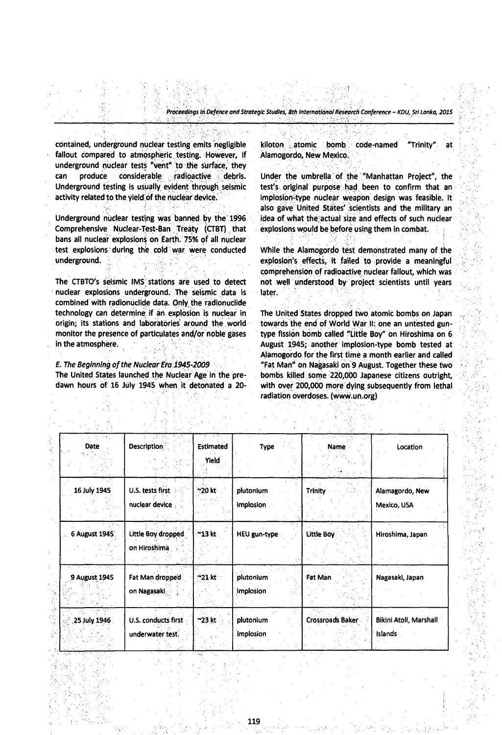contained, underground nuclear testing emits negligible fallout compared to atmospheric testing. However, if underground nuclear tests "vent" to the surface, they can produce considerable radioactive debris. Underground testing is usually evident through seismic activity related to the yield of the nuclear device.

Underground nuclear testing was banned by the 1996 Comprehensive Nuclear-Test-Ban Treaty (CTBT) that bans all nuclear explosions on Earth. 75% of all nuclear test explosions during the cold war were conducted underground. ;

The CTBTO's seismic IMS stations are used to detect nuclear explosions underground. The seismic data is combined with radionuclide data. Only the radionuclide technology can determine if an explosion is nuclear in origin; its stations and laboratories around the world monitor the presence of particulates and/or noble gases in the atmosphere.

# *E. The Beginning of the Nuclear Era 1945-2009*

The United States launched the Nuclear Age in the predawn hours of 16 July 1945 when it detonated a 20kiloton atomic bomb code-named "Trinity" at Alamogordo, New Mexico.

Under the umbrella of the "Manhattan Project", the test's original purpose had been to confirm that an implosion-type nuclear weapon design was feasible. It also gave United States' scientists and the military an idea of what the actual size and effects of such nuclear explosions would be before using them in combat.

While the Alamogordo test demonstrated many of the explosion's effects, it failed to provide a meaningful comprehension of radioactive nuclear fallout, which was not well understood by project scientists until years later.

The United States dropped two atomic bombs on Japan towards the end of World War II: one an untested guntype fission bomb called "Little Boy" on Hiroshima on 6 August 1945; another implosion-type bomb tested at Alamogordo for the first time a month earlier and called "Fat Man" on Nagasaki on 9 August. Together these two bombs killed some 220,000 Japanese citizens outright, with over 200,000 more dying subsequently from lethal radiation overdoses. (www.un.org)

| $\sim 2$<br>Date | Description                            | <b>Estimated</b> | Type                    | <b>Name</b>             | Location                          |
|------------------|----------------------------------------|------------------|-------------------------|-------------------------|-----------------------------------|
|                  |                                        | Yield            |                         |                         |                                   |
| 16 July 1945     | U.S. tests first<br>nuclear device     | $\sim$ 20 kt     | plutonium<br>implosion. | <b>Trinity</b>          | Alamagordo, New<br>Mexico, USA    |
| 6 August 1945    | Little Boy dropped<br>on Hiroshima     | $^{\sim}$ 13 kt  | <b>HEU gun-type</b>     | <b>Little Boy</b>       | Hiroshima, Japan                  |
| 9 August 1945    | Fat Man dropped<br>on Nagasaki         | $^{\sim}$ 21 kt  | plutonium<br>implosion  | Fat Man                 | Nagasaki, Japan                   |
| 25 July 1946     | U.S. conducts first<br>underwater.test | $^{\sim}$ 23 kt  | plutonium<br>implosion  | <b>Crossroads Baker</b> | Bikini Atoll, Marshall<br>Islands |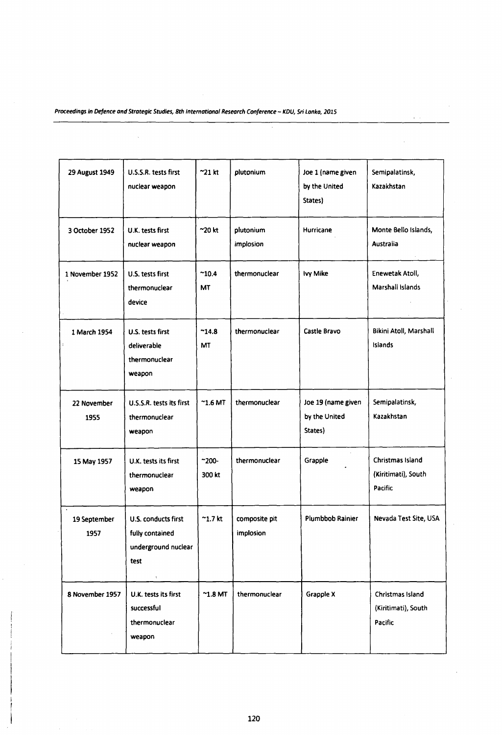$\bar{a}$ 

| 29 August 1949       | U.S.S.R. tests first<br>nuclear weapon                                                | $\sim$ 21 kt                | plutonium                  | Joe 1 (name given<br>by the United<br>States)  | Semipalatinsk,<br>Kazakhstan                       |
|----------------------|---------------------------------------------------------------------------------------|-----------------------------|----------------------------|------------------------------------------------|----------------------------------------------------|
| 3 October 1952       | U.K. tests first<br>nuclear weapon                                                    | $\sim$ 20 kt                | plutonium<br>implosion     | Hurricane                                      | Monte Bello Islands,<br>Australia                  |
| 1 November 1952      | U.S. tests first<br>thermonuclear<br>device                                           | $^{\sim}10.4$<br>МT         | thermonuclear              | lvy Mike                                       | Enewetak Atoll,<br>Marshall Islands                |
| 1 March 1954         | U.S. tests first<br>deliverable<br>thermonuclear<br>weapon                            | $^{\sim}$ 14.8<br><b>MT</b> | thermonuclear              | Castle Bravo                                   | Bikini Atoll, Marshall<br>Islands                  |
| 22 November<br>1955  | U.S.S.R. tests its first<br>thermonuclear<br>weapon                                   | $^{\sim}$ 1.6 MT            | thermonuclear              | Joe 19 (name given<br>by the United<br>States) | Semipalatinsk,<br>Kazakhstan                       |
| 15 May 1957          | U.K. tests its first<br>thermonuclear<br>weapon                                       | $-200 -$<br>300 kt          | thermonuclear              | Grapple                                        | Christmas Island<br>(Kiritimati), South<br>Pacific |
| 19 September<br>1957 | U.S. conducts first<br>fully contained<br>underground nuclear<br>test<br>$\mathbf{t}$ | $^{\thicksim}$ 1.7 kt       | composite pit<br>implosion | Plumbbob Rainier                               | Nevada Test Site, USA                              |
| 8 November 1957      | U.K. tests its first<br>successful<br>thermonuclear<br>weapon                         | $^{\sim}$ 1.8 MT            | thermonuclear              | Grapple X                                      | Christmas Island<br>(Kiritimati), South<br>Pacific |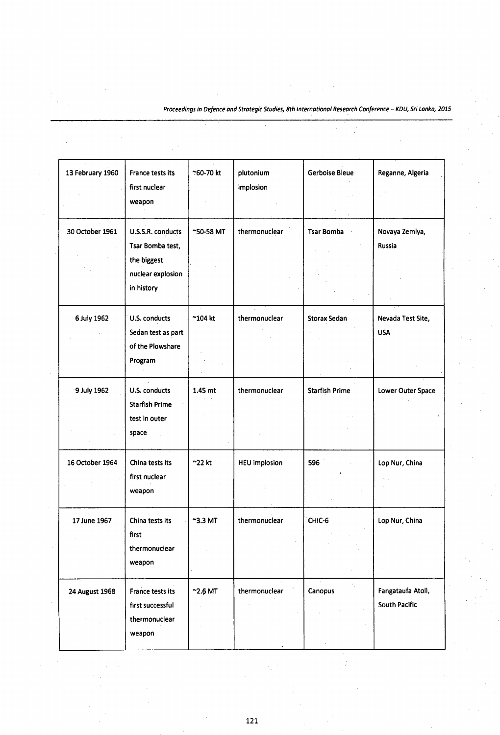$\bar{z}$ 

l,

J.

| 13 February 1960 | France tests its<br>first nuclear<br>weapon                                             | ~60-70 kt        | plutonium<br>implosion | <b>Gerboise Bleue</b> | Reganne, Algeria                   |
|------------------|-----------------------------------------------------------------------------------------|------------------|------------------------|-----------------------|------------------------------------|
| 30 October 1961  | U.S.S.R. conducts<br>Tsar Bomba test,<br>the biggest<br>nuclear explosion<br>in history | ~50-58 MT        | thermonuclear          | <b>Tsar Bomba</b>     | Novaya Zemlya,<br>Russia           |
| 6 July 1962      | U.S. conducts<br>Sedan test as part<br>of the Plowshare<br>Program                      | $^{\sim}$ 104 kt | thermonuclear          | Storax Sedan          | Nevada Test Site,<br><b>USA</b>    |
| 9 July 1962      | U.S. conducts<br><b>Starfish Prime</b><br>test in outer<br>space                        | 1.45 mt          | thermonuclear          | <b>Starfish Prime</b> | Lower Outer Space                  |
| 16 October 1964  | China tests its<br>first nuclear<br>weapon                                              | $^{\sim}$ 22 kt  | <b>HEU</b> implosion   | 596                   | Lop Nur, China                     |
| 17 June 1967     | China tests its<br>first<br>thermonuclear<br>weapon                                     | $^{\sim}$ 3.3 MT | thermonuclear          | CHIC-6                | Lop Nur, China                     |
| 24 August 1968   | France tests its<br>first successful<br>thermonuclear<br>weapon                         | $^{\sim}$ 2.6 MT | thermonuclear          | Canopus               | Fangataufa Atoll,<br>South Pacific |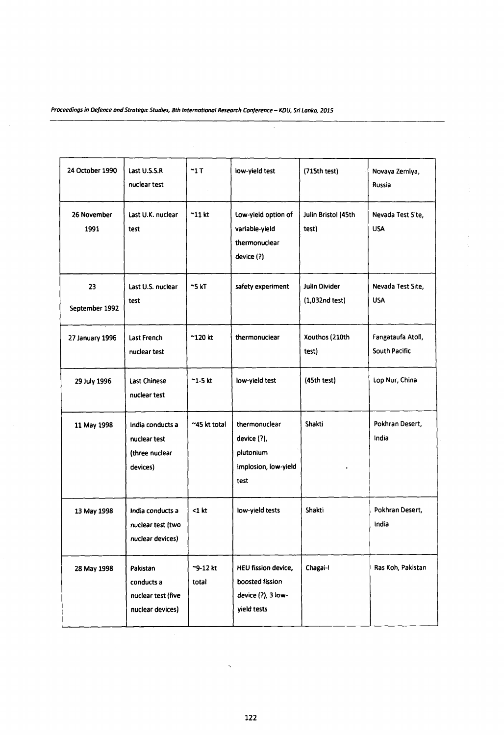| 24 October 1990      | Last U.S.S.R<br>nuclear test                                     | $^{\sim}1$ T      | low-yield test                                                              | (715th test)                           | Novaya Zemlya,<br>Russia                  |
|----------------------|------------------------------------------------------------------|-------------------|-----------------------------------------------------------------------------|----------------------------------------|-------------------------------------------|
| 26 November<br>1991  | Last U.K. nuclear<br>test                                        | $^{\sim}$ 11 kt   | Low-yield option of<br>variable-yield<br>thermonuclear<br>device (?)        | Julin Bristol (45th<br>test)           | Nevada Test Site,<br><b>USA</b>           |
| 23<br>September 1992 | Last U.S. nuclear<br>test                                        | $\approx$ 5 kT    | safety experiment                                                           | <b>Julin Divider</b><br>(1,032nd test) | Nevada Test Site,<br><b>USA</b>           |
| 27 January 1996      | Last French<br>nuclear test                                      | $^{\sim}$ 120 kt  | thermonuclear                                                               | Xouthos (210th<br>test)                | Fangataufa Atoll,<br><b>South Pacific</b> |
| 29 July 1996         | <b>Last Chinese</b><br>nuclear test                              | $\sim$ 1-5 kt     | low-yield test                                                              | (45th test)                            | Lop Nur, China                            |
| 11 May 1998          | India conducts a<br>nuclear test<br>(three nuclear<br>devices)   | ~45 kt total      | thermonuclear<br>device (?),<br>plutonium<br>implosion, low-yield<br>test   | Shakti                                 | Pokhran Desert,<br>India                  |
| 13 May 1998          | India conducts a<br>nuclear test (two<br>nuclear devices)        | $<$ 1 $kt$        | low-yield tests                                                             | Shakti                                 | Pokhran Desert,<br>India                  |
| 28 May 1998          | Pakistan<br>conducts a<br>nuclear test (five<br>nuclear devices) | ~9-12 kt<br>total | HEU fission device,<br>boosted fission<br>device (?), 3 low-<br>yield tests | Chagai-I                               | Ras Koh, Pakistan                         |

*122*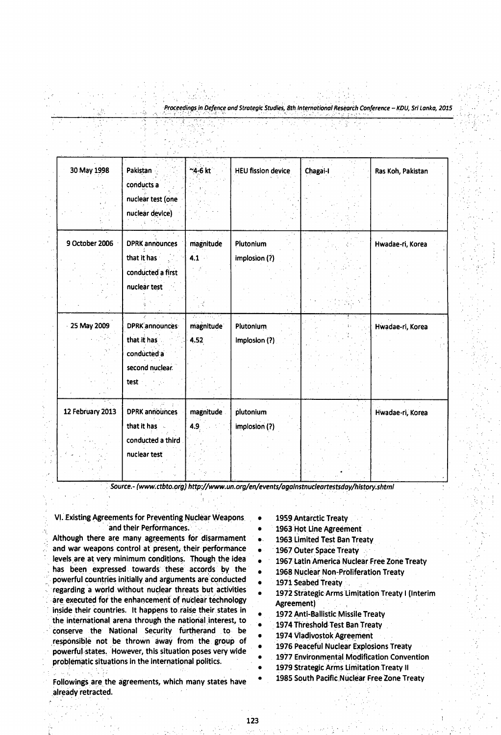| 30 May 1998      | Pakistan              | ~4-6 kt   | <b>HEU fission device</b> | Chagai-I | Ras Koh, Pakistan |
|------------------|-----------------------|-----------|---------------------------|----------|-------------------|
|                  | conducts a            |           |                           |          |                   |
|                  | nuclear test (one     |           |                           |          |                   |
|                  | nuclear device)       |           |                           |          |                   |
|                  |                       |           |                           |          |                   |
| 9 October 2006   | <b>DPRK</b> announces | magnitude | Plutonium                 |          | Hwadae-ri, Korea  |
|                  | that it has           | 4.1       | implosion (?)             |          |                   |
|                  | conducted a first     |           |                           |          |                   |
|                  | nuclear test          |           |                           |          |                   |
|                  |                       |           |                           |          |                   |
| 25 May 2009      | <b>DPRK</b> announces | magnitude | <b>Plutonium</b>          |          | Hwadae-ri, Korea  |
|                  | that it has           | 4.52      | implosion (?)             |          |                   |
|                  | conducted a           |           |                           |          |                   |
|                  | second nuclear.       |           |                           |          |                   |
|                  | test                  |           |                           |          |                   |
| 12 February 2013 | <b>DPRK announces</b> | magnitude | plutonium                 |          | Hwadae-ri, Korea  |
|                  | that it has           | 4.9       | implosion (?)             |          |                   |
|                  | conducted a third     |           |                           |          |                   |
|                  | nuclear test          |           |                           |          |                   |
|                  |                       |           |                           |          |                   |

*Source.- ([www.ctbto.ofg](http://www.ctbto.ofg))<http://www.un.org/en/events/againstnucleortestsday/history.shtml>*

# VI. Existing Agreements for Preventing Nuclear Weapons and their Performances.

Although there are many agreements for disarmament and war weapons control at present, their performance levels are at very minimum conditions. Though the idea has been expressed towards these accords by the powerful countries initially and arguments are conducted regarding a world without nuclear threats but activities are executed for the enhancement of nuclear technology inside their countries. It happens to raise their states in the international arena through the national interest, to conserve the National Security furtherand to be responsible not be thrown away from the group of powerful states. However, this situation poses very wide problematic situations in the international politics.

Followings are the agreements, which many states have already retracted.

- 1959 Antarctic Treaty
- 1963 Hot Line Agreement
- 1963 Limited Test Ban Treaty
- 1967 Outer Space Treaty
- 1967 Latin America Nuclear Free Zone Treaty
- 1968 Nuclear Non-Proliferation Treaty
- 1971 Seabed Treaty
- 1972 Strategic Arms Limitation Treaty I (Interim Agreement)
- 1972 Anti-Ballistic Missile Treaty
- 1974 Threshold Test Ban Treaty
- 1974 Vladivostok Agreement
- 1976 Peaceful Nuclear Explosions Treaty
- 1977 Environmental Modification Convention
- 1979 Strategic Arms Limitation Treaty II
- 1985 South Pacific Nuclear Free Zone Treaty